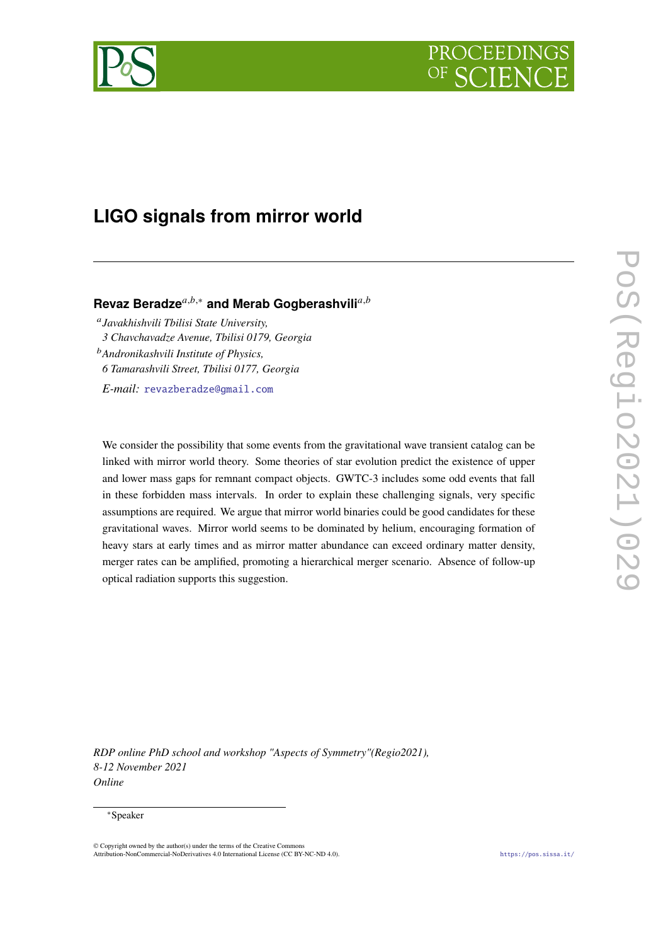# PROCEEDI



## **LIGO signals from mirror world**

### **Revaz Beradze**<sup>a,b,∗</sup> and Merab Gogberashvili<sup>a,b</sup>

 *Javakhishvili Tbilisi State University, 3 Chavchavadze Avenue, Tbilisi 0179, Georgia Andronikashvili Institute of Physics, 6 Tamarashvili Street, Tbilisi 0177, Georgia E-mail:* [revazberadze@gmail.com](mailto:revazberadze@gmail.com)

We consider the possibility that some events from the gravitational wave transient catalog can be linked with mirror world theory. Some theories of star evolution predict the existence of upper and lower mass gaps for remnant compact objects. GWTC-3 includes some odd events that fall in these forbidden mass intervals. In order to explain these challenging signals, very specific assumptions are required. We argue that mirror world binaries could be good candidates for these gravitational waves. Mirror world seems to be dominated by helium, encouraging formation of heavy stars at early times and as mirror matter abundance can exceed ordinary matter density, merger rates can be amplified, promoting a hierarchical merger scenario. Absence of follow-up optical radiation supports this suggestion.

*RDP online PhD school and workshop "Aspects of Symmetry"(Regio2021), 8-12 November 2021 Online*

#### <sup>∗</sup>Speaker

© Copyright owned by the author(s) under the terms of the Creative Commons Attribution-NonCommercial-NoDerivatives 4.0 International License (CC BY-NC-ND 4.0). <https://pos.sissa.it/>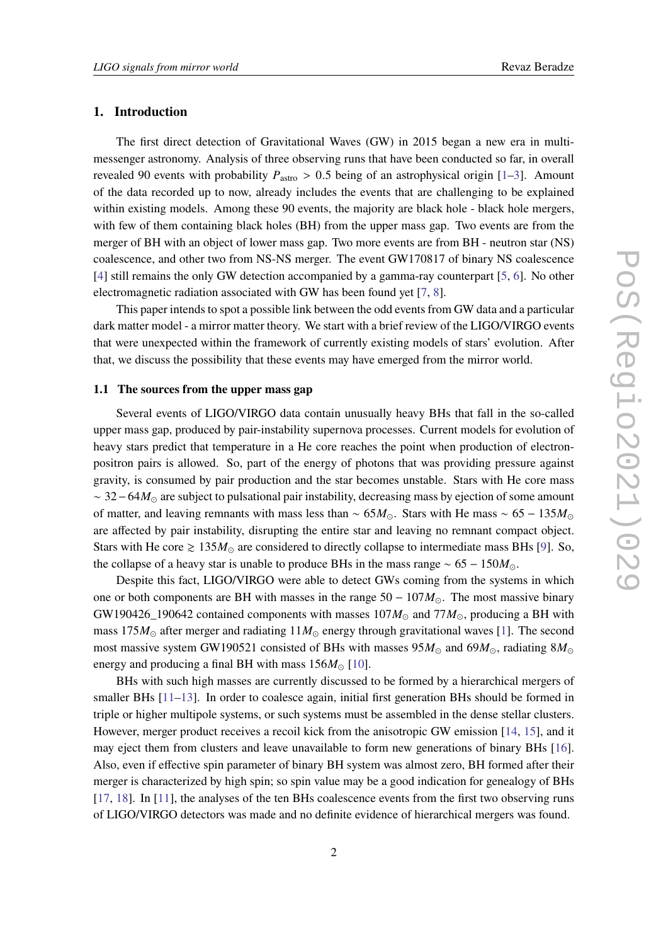#### **1. Introduction**

The first direct detection of Gravitational Waves (GW) in 2015 began a new era in multimessenger astronomy. Analysis of three observing runs that have been conducted so far, in overall revealed 90 events with probability  $P_{astro} > 0.5$  being of an astrophysical origin [\[1–](#page-6-0)[3\]](#page-6-1). Amount of the data recorded up to now, already includes the events that are challenging to be explained within existing models. Among these 90 events, the majority are black hole - black hole mergers, with few of them containing black holes (BH) from the upper mass gap. Two events are from the merger of BH with an object of lower mass gap. Two more events are from BH - neutron star (NS) coalescence, and other two from NS-NS merger. The event GW170817 of binary NS coalescence [\[4\]](#page-6-2) still remains the only GW detection accompanied by a gamma-ray counterpart [\[5,](#page-6-3) [6\]](#page-6-4). No other electromagnetic radiation associated with GW has been found yet [\[7,](#page-6-5) [8\]](#page-7-0).

This paper intends to spot a possible link between the odd events from GW data and a particular dark matter model - a mirror matter theory. We start with a brief review of the LIGO/VIRGO events that were unexpected within the framework of currently existing models of stars' evolution. After that, we discuss the possibility that these events may have emerged from the mirror world.

#### **1.1 The sources from the upper mass gap**

Several events of LIGO/VIRGO data contain unusually heavy BHs that fall in the so-called upper mass gap, produced by pair-instability supernova processes. Current models for evolution of heavy stars predict that temperature in a He core reaches the point when production of electronpositron pairs is allowed. So, part of the energy of photons that was providing pressure against gravity, is consumed by pair production and the star becomes unstable. Stars with He core mass  $\sim$  32 – 64 $M_{\odot}$  are subject to pulsational pair instability, decreasing mass by ejection of some amount of matter, and leaving remnants with mass less than ~  $65M_{\odot}$ . Stars with He mass ~  $65 - 135M_{\odot}$ are affected by pair instability, disrupting the entire star and leaving no remnant compact object. Stars with He core  $\geq 135M_{\odot}$  are considered to directly collapse to intermediate mass BHs [\[9\]](#page-7-1). So, the collapse of a heavy star is unable to produce BHs in the mass range  $\sim 65 - 150 M_{\odot}$ .

Despite this fact, LIGO/VIRGO were able to detect GWs coming from the systems in which one or both components are BH with masses in the range  $50 - 107M_{\odot}$ . The most massive binary GW190426\_190642 contained components with masses  $107M_{\odot}$  and  $77M_{\odot}$ , producing a BH with mass 175 $M_{\odot}$  after merger and radiating  $11M_{\odot}$  energy through gravitational waves [\[1\]](#page-6-0). The second most massive system GW190521 consisted of BHs with masses  $95M_{\odot}$  and  $69M_{\odot}$ , radiating  $8M_{\odot}$ energy and producing a final BH with mass  $156M_{\odot}$  [\[10\]](#page-7-2).

BHs with such high masses are currently discussed to be formed by a hierarchical mergers of smaller BHs  $[11-13]$  $[11-13]$ . In order to coalesce again, initial first generation BHs should be formed in triple or higher multipole systems, or such systems must be assembled in the dense stellar clusters. However, merger product receives a recoil kick from the anisotropic GW emission [\[14,](#page-7-5) [15\]](#page-7-6), and it may eject them from clusters and leave unavailable to form new generations of binary BHs [\[16\]](#page-7-7). Also, even if effective spin parameter of binary BH system was almost zero, BH formed after their merger is characterized by high spin; so spin value may be a good indication for genealogy of BHs [\[17,](#page-7-8) [18\]](#page-7-9). In [\[11\]](#page-7-3), the analyses of the ten BHs coalescence events from the first two observing runs of LIGO/VIRGO detectors was made and no definite evidence of hierarchical mergers was found.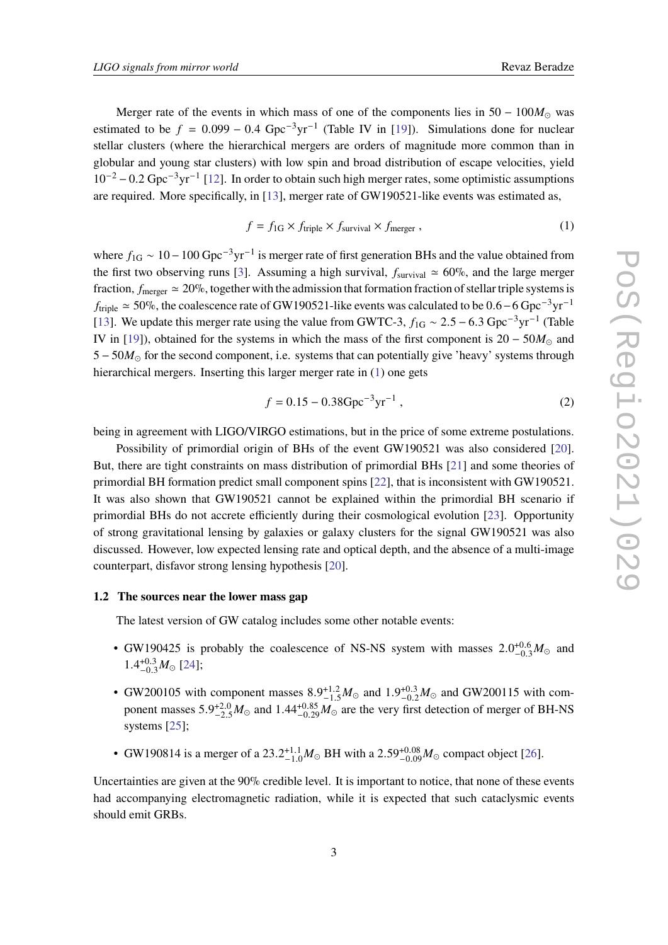Merger rate of the events in which mass of one of the components lies in  $50 - 100M_{\odot}$  was estimated to be  $f = 0.099 - 0.4 \text{ Gpc}^{-3} \text{yr}^{-1}$  (Table IV in [\[19\]](#page-7-10)). Simulations done for nuclear stellar clusters (where the hierarchical mergers are orders of magnitude more common than in globular and young star clusters) with low spin and broad distribution of escape velocities, yield 10−<sup>2</sup> − 0.2 Gpc−3yr−<sup>1</sup> [\[12\]](#page-7-11). In order to obtain such high merger rates, some optimistic assumptions are required. More specifically, in [\[13\]](#page-7-4), merger rate of GW190521-like events was estimated as,

<span id="page-2-0"></span>
$$
f = f_{1G} \times f_{\text{triple}} \times f_{\text{survival}} \times f_{\text{merger}} , \qquad (1)
$$

where  $f_{1G} \sim 10 - 100 \text{ Gpc}^{-3} \text{yr}^{-1}$  is merger rate of first generation BHs and the value obtained from the first two observing runs [\[3\]](#page-6-1). Assuming a high survival,  $f_{\text{survival}} \approx 60\%$ , and the large merger fraction,  $f_{\text{merger}} \approx 20\%$ , together with the admission that formation fraction of stellar triple systems is  $f_{\text{triple}} \approx 50\%$ , the coalescence rate of GW190521-like events was calculated to be 0.6 – 6 Gpc<sup>-3</sup>yr<sup>-1</sup> [\[13\]](#page-7-4). We update this merger rate using the value from GWTC-3,  $f_{1G} \sim 2.5 - 6.3$  Gpc<sup>-3</sup>yr<sup>-1</sup> (Table IV in [\[19\]](#page-7-10)), obtained for the systems in which the mass of the first component is  $20 - 50M_{\odot}$  and  $5 - 50M_{\odot}$  for the second component, i.e. systems that can potentially give 'heavy' systems through hierarchical mergers. Inserting this larger merger rate in [\(1\)](#page-2-0) one gets

$$
f = 0.15 - 0.38 \text{Gpc}^{-3} \text{yr}^{-1} \tag{2}
$$

being in agreement with LIGO/VIRGO estimations, but in the price of some extreme postulations.

Possibility of primordial origin of BHs of the event GW190521 was also considered [\[20\]](#page-7-12). But, there are tight constraints on mass distribution of primordial BHs [\[21\]](#page-7-13) and some theories of primordial BH formation predict small component spins [\[22\]](#page-7-14), that is inconsistent with GW190521. It was also shown that GW190521 cannot be explained within the primordial BH scenario if primordial BHs do not accrete efficiently during their cosmological evolution [\[23\]](#page-7-15). Opportunity of strong gravitational lensing by galaxies or galaxy clusters for the signal GW190521 was also discussed. However, low expected lensing rate and optical depth, and the absence of a multi-image counterpart, disfavor strong lensing hypothesis [\[20\]](#page-7-12).

#### **1.2 The sources near the lower mass gap**

The latest version of GW catalog includes some other notable events:

- GW190425 is probably the coalescence of NS-NS system with masses  $2.0^{+0.6}_{-0.3}M_{\odot}$  and  $1.4^{+0.3}_{-0.3}M_{\odot}$  [\[24\]](#page-7-16);
- GW200105 with component masses  $8.9^{+1.2}_{-1.5}M_{\odot}$  and  $1.9^{+0.3}_{-0.2}M_{\odot}$  and GW200115 with component masses  $5.9^{+2.0}_{-2.5}M_{\odot}$  and  $1.44^{+0.85}_{-0.29}M_{\odot}$  are the very first detection of merger of BH-NS systems [\[25\]](#page-7-17);
- GW190814 is a merger of a 23.2<sup>+1.1</sup>  $M_{\odot}$  BH with a 2.59<sup>+0.08</sup> $M_{\odot}$  compact object [\[26\]](#page-7-18).

Uncertainties are given at the 90% credible level. It is important to notice, that none of these events had accompanying electromagnetic radiation, while it is expected that such cataclysmic events should emit GRBs.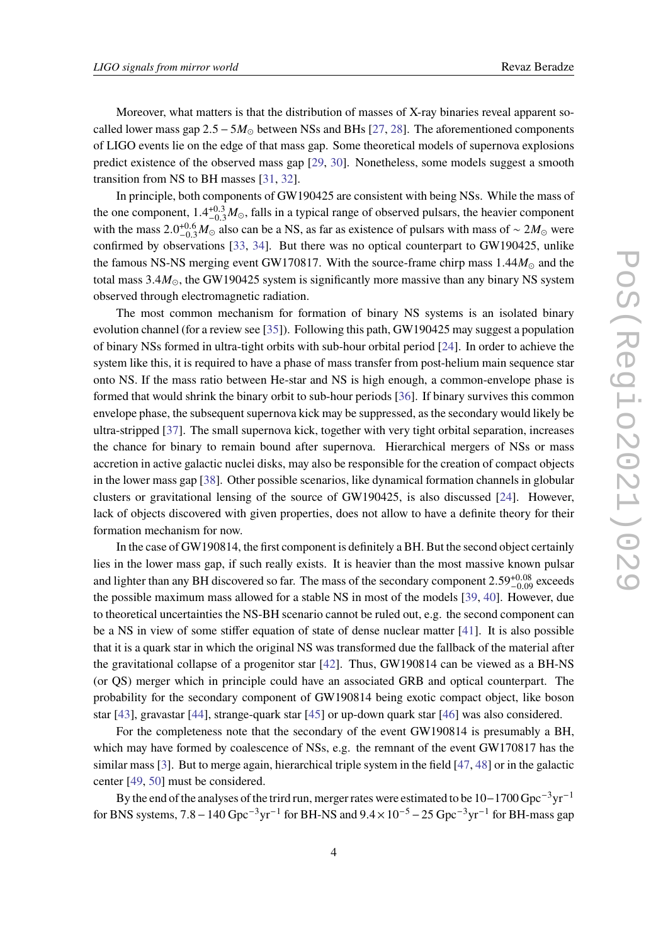Moreover, what matters is that the distribution of masses of X-ray binaries reveal apparent socalled lower mass gap  $2.5 - 5M_{\odot}$  between NSs and BHs [\[27,](#page-8-0) [28\]](#page-8-1). The aforementioned components of LIGO events lie on the edge of that mass gap. Some theoretical models of supernova explosions predict existence of the observed mass gap [\[29,](#page-8-2) [30\]](#page-8-3). Nonetheless, some models suggest a smooth transition from NS to BH masses [\[31,](#page-8-4) [32\]](#page-8-5).

In principle, both components of GW190425 are consistent with being NSs. While the mass of the one component,  $1.4^{+0.3}_{-0.3}M_{\odot}$ , falls in a typical range of observed pulsars, the heavier component with the mass  $2.0^{+0.6}_{-0.3}M_{\odot}$  also can be a NS, as far as existence of pulsars with mass of ~ 2 $M_{\odot}$  were confirmed by observations [\[33,](#page-8-6) [34\]](#page-8-7). But there was no optical counterpart to GW190425, unlike the famous NS-NS merging event GW170817. With the source-frame chirp mass  $1.44M_{\odot}$  and the total mass  $3.4M_{\odot}$ , the GW190425 system is significantly more massive than any binary NS system observed through electromagnetic radiation.

The most common mechanism for formation of binary NS systems is an isolated binary evolution channel (for a review see [\[35\]](#page-8-8)). Following this path, GW190425 may suggest a population of binary NSs formed in ultra-tight orbits with sub-hour orbital period [\[24\]](#page-7-16). In order to achieve the system like this, it is required to have a phase of mass transfer from post-helium main sequence star onto NS. If the mass ratio between He-star and NS is high enough, a common-envelope phase is formed that would shrink the binary orbit to sub-hour periods [\[36\]](#page-8-9). If binary survives this common envelope phase, the subsequent supernova kick may be suppressed, as the secondary would likely be ultra-stripped [\[37\]](#page-8-10). The small supernova kick, together with very tight orbital separation, increases the chance for binary to remain bound after supernova. Hierarchical mergers of NSs or mass accretion in active galactic nuclei disks, may also be responsible for the creation of compact objects in the lower mass gap [\[38\]](#page-8-11). Other possible scenarios, like dynamical formation channels in globular clusters or gravitational lensing of the source of GW190425, is also discussed [\[24\]](#page-7-16). However, lack of objects discovered with given properties, does not allow to have a definite theory for their formation mechanism for now.

In the case of GW190814, the first component is definitely a BH. But the second object certainly lies in the lower mass gap, if such really exists. It is heavier than the most massive known pulsar and lighter than any BH discovered so far. The mass of the secondary component  $2.59_{-0.09}^{+0.08}$  exceeds the possible maximum mass allowed for a stable NS in most of the models [\[39,](#page-8-12) [40\]](#page-8-13). However, due to theoretical uncertainties the NS-BH scenario cannot be ruled out, e.g. the second component can be a NS in view of some stiffer equation of state of dense nuclear matter [\[41\]](#page-8-14). It is also possible that it is a quark star in which the original NS was transformed due the fallback of the material after the gravitational collapse of a progenitor star [\[42\]](#page-8-15). Thus, GW190814 can be viewed as a BH-NS (or QS) merger which in principle could have an associated GRB and optical counterpart. The probability for the secondary component of GW190814 being exotic compact object, like boson star [\[43\]](#page-8-16), gravastar [\[44\]](#page-8-17), strange-quark star [\[45\]](#page-8-18) or up-down quark star [\[46\]](#page-8-19) was also considered.

For the completeness note that the secondary of the event GW190814 is presumably a BH, which may have formed by coalescence of NSs, e.g. the remnant of the event GW170817 has the similar mass [\[3\]](#page-6-1). But to merge again, hierarchical triple system in the field [\[47,](#page-8-20) [48\]](#page-9-0) or in the galactic center [\[49,](#page-9-1) [50\]](#page-9-2) must be considered.

By the end of the analyses of the trird run, merger rates were estimated to be 10−1700 Gpc−3yr−<sup>1</sup> for BNS systems,  $7.8 - 140 \text{ Gpc}^{-3} \text{yr}^{-1}$  for BH-NS and  $9.4 \times 10^{-5} - 25 \text{ Gpc}^{-3} \text{yr}^{-1}$  for BH-mass gap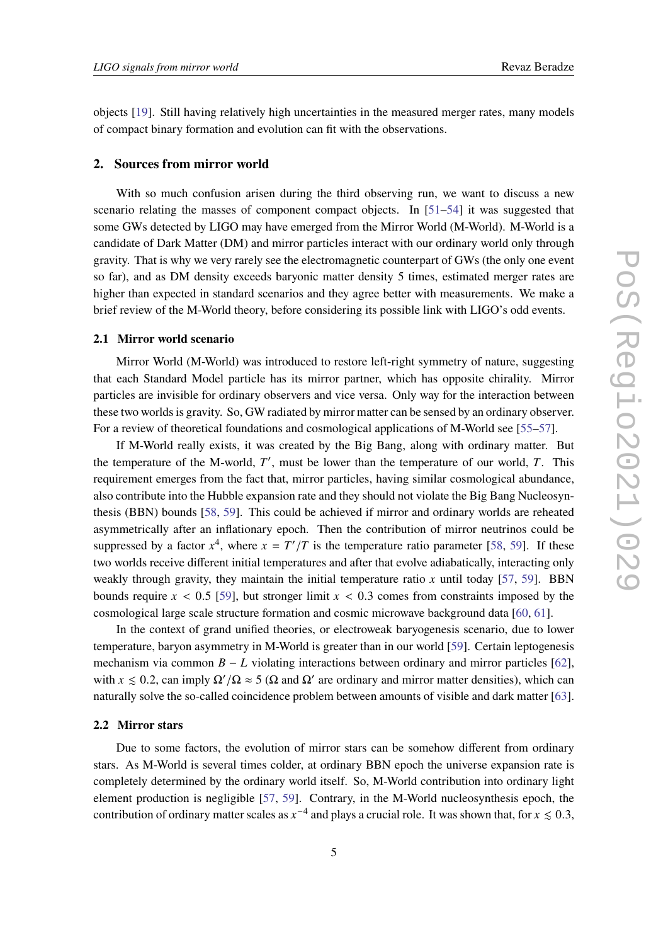objects [\[19\]](#page-7-10). Still having relatively high uncertainties in the measured merger rates, many models of compact binary formation and evolution can fit with the observations.

#### **2. Sources from mirror world**

With so much confusion arisen during the third observing run, we want to discuss a new scenario relating the masses of component compact objects. In [\[51](#page-9-3)[–54\]](#page-9-4) it was suggested that some GWs detected by LIGO may have emerged from the Mirror World (M-World). M-World is a candidate of Dark Matter (DM) and mirror particles interact with our ordinary world only through gravity. That is why we very rarely see the electromagnetic counterpart of GWs (the only one event so far), and as DM density exceeds baryonic matter density 5 times, estimated merger rates are higher than expected in standard scenarios and they agree better with measurements. We make a brief review of the M-World theory, before considering its possible link with LIGO's odd events.

#### **2.1 Mirror world scenario**

Mirror World (M-World) was introduced to restore left-right symmetry of nature, suggesting that each Standard Model particle has its mirror partner, which has opposite chirality. Mirror particles are invisible for ordinary observers and vice versa. Only way for the interaction between these two worlds is gravity. So, GW radiated by mirror matter can be sensed by an ordinary observer. For a review of theoretical foundations and cosmological applications of M-World see [\[55](#page-9-5)[–57\]](#page-9-6).

If M-World really exists, it was created by the Big Bang, along with ordinary matter. But the temperature of the M-world,  $T'$ , must be lower than the temperature of our world,  $T$ . This requirement emerges from the fact that, mirror particles, having similar cosmological abundance, also contribute into the Hubble expansion rate and they should not violate the Big Bang Nucleosynthesis (BBN) bounds [\[58,](#page-9-7) [59\]](#page-9-8). This could be achieved if mirror and ordinary worlds are reheated asymmetrically after an inflationary epoch. Then the contribution of mirror neutrinos could be suppressed by a factor  $x^4$ , where  $x = T'/T$  is the temperature ratio parameter [\[58,](#page-9-7) [59\]](#page-9-8). If these two worlds receive different initial temperatures and after that evolve adiabatically, interacting only weakly through gravity, they maintain the initial temperature ratio  $x$  until today [\[57,](#page-9-6) [59\]](#page-9-8). BBN bounds require  $x < 0.5$  [\[59\]](#page-9-8), but stronger limit  $x < 0.3$  comes from constraints imposed by the cosmological large scale structure formation and cosmic microwave background data [\[60,](#page-9-9) [61\]](#page-9-10).

In the context of grand unified theories, or electroweak baryogenesis scenario, due to lower temperature, baryon asymmetry in M-World is greater than in our world [\[59\]](#page-9-8). Certain leptogenesis mechanism via common  $B - L$  violating interactions between ordinary and mirror particles [\[62\]](#page-9-11), with  $x \le 0.2$ , can imply  $\Omega'/\Omega \approx 5$  ( $\Omega$  and  $\Omega'$  are ordinary and mirror matter densities), which can naturally solve the so-called coincidence problem between amounts of visible and dark matter [\[63\]](#page-9-12).

#### **2.2 Mirror stars**

Due to some factors, the evolution of mirror stars can be somehow different from ordinary stars. As M-World is several times colder, at ordinary BBN epoch the universe expansion rate is completely determined by the ordinary world itself. So, M-World contribution into ordinary light element production is negligible [\[57,](#page-9-6) [59\]](#page-9-8). Contrary, in the M-World nucleosynthesis epoch, the contribution of ordinary matter scales as  $x^{-4}$  and plays a crucial role. It was shown that, for  $x \le 0.3$ ,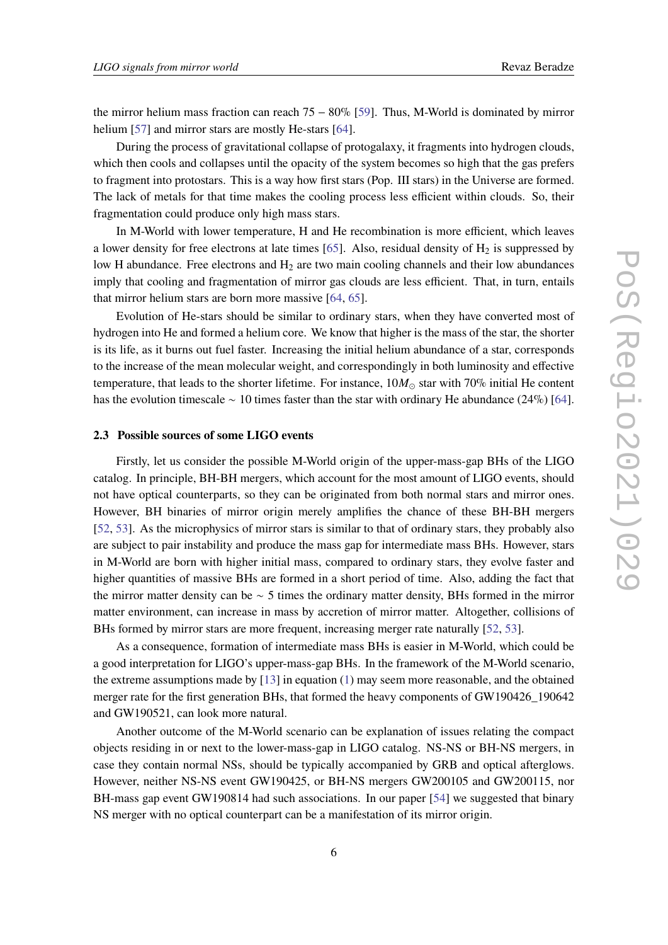the mirror helium mass fraction can reach 75 − 80% [\[59\]](#page-9-8). Thus, M-World is dominated by mirror helium [\[57\]](#page-9-6) and mirror stars are mostly He-stars [\[64\]](#page-9-13).

During the process of gravitational collapse of protogalaxy, it fragments into hydrogen clouds, which then cools and collapses until the opacity of the system becomes so high that the gas prefers to fragment into protostars. This is a way how first stars (Pop. III stars) in the Universe are formed. The lack of metals for that time makes the cooling process less efficient within clouds. So, their fragmentation could produce only high mass stars.

In M-World with lower temperature, H and He recombination is more efficient, which leaves a lower density for free electrons at late times [\[65\]](#page-9-14). Also, residual density of  $H_2$  is suppressed by low H abundance. Free electrons and  $H_2$  are two main cooling channels and their low abundances imply that cooling and fragmentation of mirror gas clouds are less efficient. That, in turn, entails that mirror helium stars are born more massive [\[64,](#page-9-13) [65\]](#page-9-14).

Evolution of He-stars should be similar to ordinary stars, when they have converted most of hydrogen into He and formed a helium core. We know that higher is the mass of the star, the shorter is its life, as it burns out fuel faster. Increasing the initial helium abundance of a star, corresponds to the increase of the mean molecular weight, and correspondingly in both luminosity and effective temperature, that leads to the shorter lifetime. For instance,  $10M_{\odot}$  star with 70% initial He content has the evolution timescale ∼ 10 times faster than the star with ordinary He abundance (24%) [\[64\]](#page-9-13).

#### **2.3 Possible sources of some LIGO events**

Firstly, let us consider the possible M-World origin of the upper-mass-gap BHs of the LIGO catalog. In principle, BH-BH mergers, which account for the most amount of LIGO events, should not have optical counterparts, so they can be originated from both normal stars and mirror ones. However, BH binaries of mirror origin merely amplifies the chance of these BH-BH mergers [\[52,](#page-9-15) [53\]](#page-9-16). As the microphysics of mirror stars is similar to that of ordinary stars, they probably also are subject to pair instability and produce the mass gap for intermediate mass BHs. However, stars in M-World are born with higher initial mass, compared to ordinary stars, they evolve faster and higher quantities of massive BHs are formed in a short period of time. Also, adding the fact that the mirror matter density can be  $\sim$  5 times the ordinary matter density, BHs formed in the mirror matter environment, can increase in mass by accretion of mirror matter. Altogether, collisions of BHs formed by mirror stars are more frequent, increasing merger rate naturally [\[52,](#page-9-15) [53\]](#page-9-16).

As a consequence, formation of intermediate mass BHs is easier in M-World, which could be a good interpretation for LIGO's upper-mass-gap BHs. In the framework of the M-World scenario, the extreme assumptions made by [\[13\]](#page-7-4) in equation [\(1\)](#page-2-0) may seem more reasonable, and the obtained merger rate for the first generation BHs, that formed the heavy components of GW190426\_190642 and GW190521, can look more natural.

Another outcome of the M-World scenario can be explanation of issues relating the compact objects residing in or next to the lower-mass-gap in LIGO catalog. NS-NS or BH-NS mergers, in case they contain normal NSs, should be typically accompanied by GRB and optical afterglows. However, neither NS-NS event GW190425, or BH-NS mergers GW200105 and GW200115, nor BH-mass gap event GW190814 had such associations. In our paper [\[54\]](#page-9-4) we suggested that binary NS merger with no optical counterpart can be a manifestation of its mirror origin.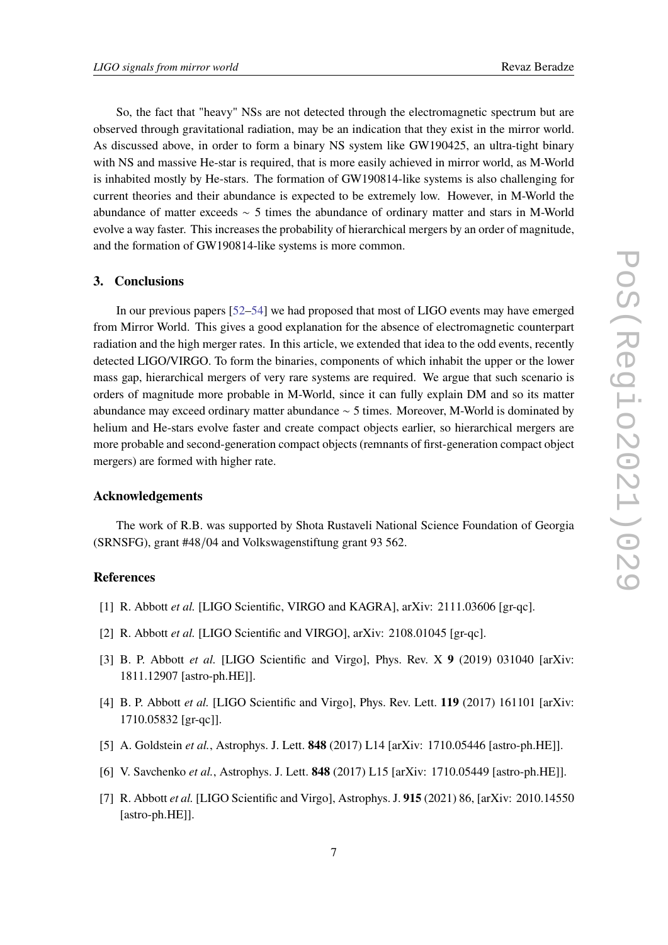So, the fact that "heavy" NSs are not detected through the electromagnetic spectrum but are observed through gravitational radiation, may be an indication that they exist in the mirror world. As discussed above, in order to form a binary NS system like GW190425, an ultra-tight binary with NS and massive He-star is required, that is more easily achieved in mirror world, as M-World is inhabited mostly by He-stars. The formation of GW190814-like systems is also challenging for current theories and their abundance is expected to be extremely low. However, in M-World the abundance of matter exceeds ∼ 5 times the abundance of ordinary matter and stars in M-World evolve a way faster. This increases the probability of hierarchical mergers by an order of magnitude, and the formation of GW190814-like systems is more common.

#### **3. Conclusions**

In our previous papers [\[52–](#page-9-15)[54\]](#page-9-4) we had proposed that most of LIGO events may have emerged from Mirror World. This gives a good explanation for the absence of electromagnetic counterpart radiation and the high merger rates. In this article, we extended that idea to the odd events, recently detected LIGO/VIRGO. To form the binaries, components of which inhabit the upper or the lower mass gap, hierarchical mergers of very rare systems are required. We argue that such scenario is orders of magnitude more probable in M-World, since it can fully explain DM and so its matter abundance may exceed ordinary matter abundance ∼ 5 times. Moreover, M-World is dominated by helium and He-stars evolve faster and create compact objects earlier, so hierarchical mergers are more probable and second-generation compact objects (remnants of first-generation compact object mergers) are formed with higher rate.

#### **Acknowledgements**

The work of R.B. was supported by Shota Rustaveli National Science Foundation of Georgia (SRNSFG), grant #48/04 and Volkswagenstiftung grant 93 562.

#### **References**

- <span id="page-6-0"></span>[1] R. Abbott *et al.* [LIGO Scientific, VIRGO and KAGRA], arXiv: 2111.03606 [gr-qc].
- [2] R. Abbott *et al.* [LIGO Scientific and VIRGO], arXiv: 2108.01045 [gr-qc].
- <span id="page-6-1"></span>[3] B. P. Abbott *et al.* [LIGO Scientific and Virgo], Phys. Rev. X **9** (2019) 031040 [arXiv: 1811.12907 [astro-ph.HE]].
- <span id="page-6-2"></span>[4] B. P. Abbott *et al.* [LIGO Scientific and Virgo], Phys. Rev. Lett. **119** (2017) 161101 [arXiv: 1710.05832 [gr-qc]].
- <span id="page-6-3"></span>[5] A. Goldstein *et al.*, Astrophys. J. Lett. **848** (2017) L14 [arXiv: 1710.05446 [astro-ph.HE]].
- <span id="page-6-4"></span>[6] V. Savchenko *et al.*, Astrophys. J. Lett. **848** (2017) L15 [arXiv: 1710.05449 [astro-ph.HE]].
- <span id="page-6-5"></span>[7] R. Abbott *et al.* [LIGO Scientific and Virgo], Astrophys. J. **915** (2021) 86, [arXiv: 2010.14550 [astro-ph.HE]].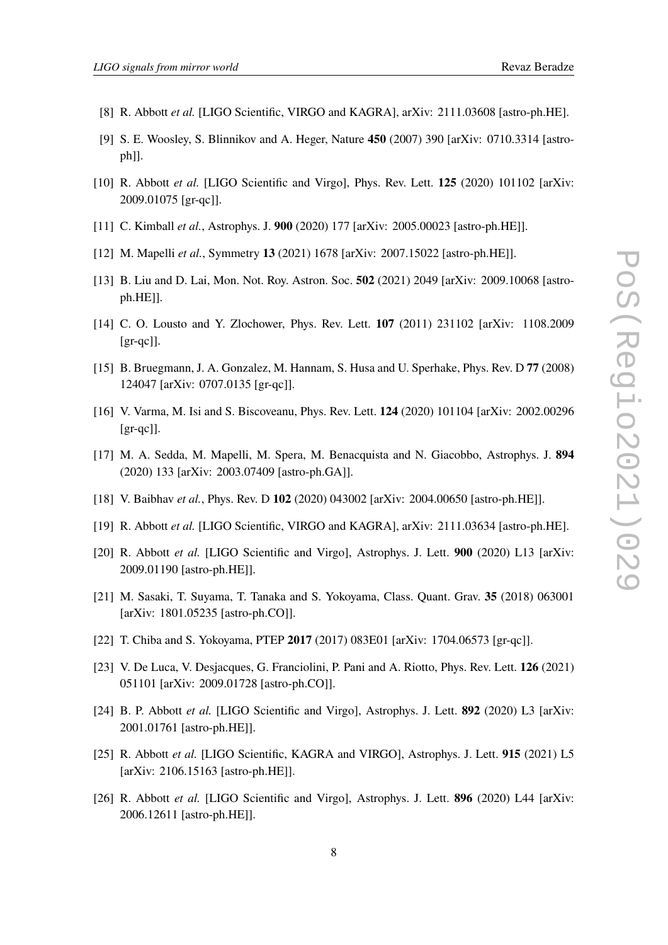- <span id="page-7-0"></span>[8] R. Abbott *et al.* [LIGO Scientific, VIRGO and KAGRA], arXiv: 2111.03608 [astro-ph.HE].
- <span id="page-7-1"></span>[9] S. E. Woosley, S. Blinnikov and A. Heger, Nature **450** (2007) 390 [arXiv: 0710.3314 [astroph]].
- <span id="page-7-2"></span>[10] R. Abbott *et al.* [LIGO Scientific and Virgo], Phys. Rev. Lett. **125** (2020) 101102 [arXiv: 2009.01075 [gr-qc]].
- <span id="page-7-3"></span>[11] C. Kimball *et al.*, Astrophys. J. **900** (2020) 177 [arXiv: 2005.00023 [astro-ph.HE]].
- <span id="page-7-11"></span>[12] M. Mapelli *et al.*, Symmetry **13** (2021) 1678 [arXiv: 2007.15022 [astro-ph.HE]].
- <span id="page-7-4"></span>[13] B. Liu and D. Lai, Mon. Not. Roy. Astron. Soc. **502** (2021) 2049 [arXiv: 2009.10068 [astroph.HE]].
- <span id="page-7-5"></span>[14] C. O. Lousto and Y. Zlochower, Phys. Rev. Lett. **107** (2011) 231102 [arXiv: 1108.2009  $[gr-qc]$ ].
- <span id="page-7-6"></span>[15] B. Bruegmann, J. A. Gonzalez, M. Hannam, S. Husa and U. Sperhake, Phys. Rev. D **77** (2008) 124047 [arXiv: 0707.0135 [gr-qc]].
- <span id="page-7-7"></span>[16] V. Varma, M. Isi and S. Biscoveanu, Phys. Rev. Lett. **124** (2020) 101104 [arXiv: 2002.00296 [gr-qc]].
- <span id="page-7-8"></span>[17] M. A. Sedda, M. Mapelli, M. Spera, M. Benacquista and N. Giacobbo, Astrophys. J. **894** (2020) 133 [arXiv: 2003.07409 [astro-ph.GA]].
- <span id="page-7-9"></span>[18] V. Baibhav *et al.*, Phys. Rev. D **102** (2020) 043002 [arXiv: 2004.00650 [astro-ph.HE]].
- <span id="page-7-10"></span>[19] R. Abbott *et al.* [LIGO Scientific, VIRGO and KAGRA], arXiv: 2111.03634 [astro-ph.HE].
- <span id="page-7-12"></span>[20] R. Abbott *et al.* [LIGO Scientific and Virgo], Astrophys. J. Lett. **900** (2020) L13 [arXiv: 2009.01190 [astro-ph.HE]].
- <span id="page-7-13"></span>[21] M. Sasaki, T. Suyama, T. Tanaka and S. Yokoyama, Class. Quant. Grav. **35** (2018) 063001 [arXiv: 1801.05235 [astro-ph.CO]].
- <span id="page-7-14"></span>[22] T. Chiba and S. Yokoyama, PTEP **2017** (2017) 083E01 [arXiv: 1704.06573 [gr-qc]].
- <span id="page-7-15"></span>[23] V. De Luca, V. Desjacques, G. Franciolini, P. Pani and A. Riotto, Phys. Rev. Lett. **126** (2021) 051101 [arXiv: 2009.01728 [astro-ph.CO]].
- <span id="page-7-16"></span>[24] B. P. Abbott *et al.* [LIGO Scientific and Virgo], Astrophys. J. Lett. **892** (2020) L3 [arXiv: 2001.01761 [astro-ph.HE]].
- <span id="page-7-17"></span>[25] R. Abbott *et al.* [LIGO Scientific, KAGRA and VIRGO], Astrophys. J. Lett. **915** (2021) L5 [arXiv: 2106.15163 [astro-ph.HE]].
- <span id="page-7-18"></span>[26] R. Abbott *et al.* [LIGO Scientific and Virgo], Astrophys. J. Lett. **896** (2020) L44 [arXiv: 2006.12611 [astro-ph.HE]].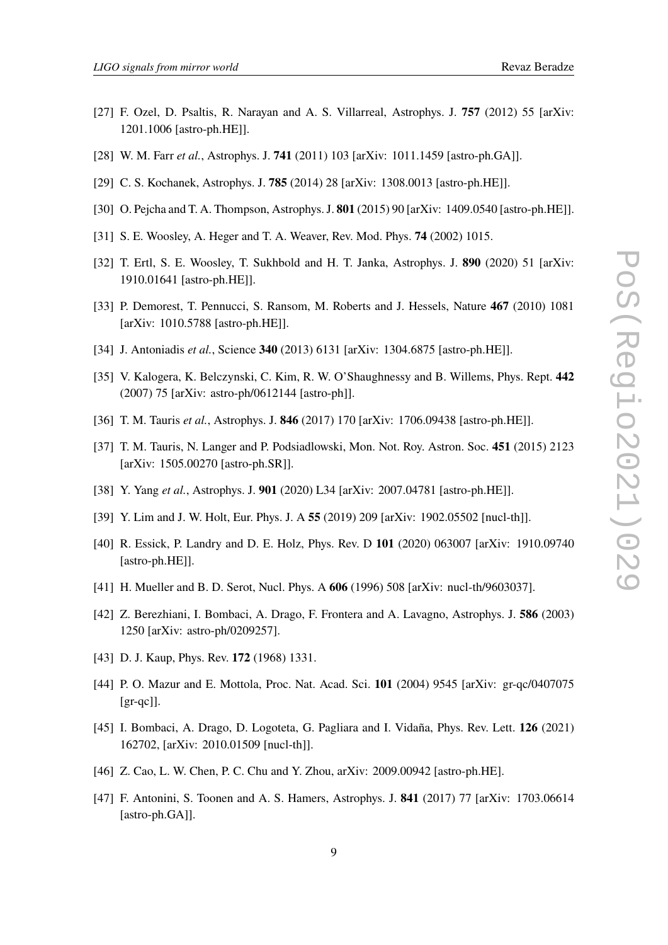- <span id="page-8-0"></span>[27] F. Ozel, D. Psaltis, R. Narayan and A. S. Villarreal, Astrophys. J. **757** (2012) 55 [arXiv: 1201.1006 [astro-ph.HE]].
- <span id="page-8-1"></span>[28] W. M. Farr *et al.*, Astrophys. J. **741** (2011) 103 [arXiv: 1011.1459 [astro-ph.GA]].
- <span id="page-8-2"></span>[29] C. S. Kochanek, Astrophys. J. **785** (2014) 28 [arXiv: 1308.0013 [astro-ph.HE]].
- <span id="page-8-3"></span>[30] O. Pejcha and T. A. Thompson, Astrophys. J. **801** (2015) 90 [arXiv: 1409.0540 [astro-ph.HE]].
- <span id="page-8-4"></span>[31] S. E. Woosley, A. Heger and T. A. Weaver, Rev. Mod. Phys. **74** (2002) 1015.
- <span id="page-8-5"></span>[32] T. Ertl, S. E. Woosley, T. Sukhbold and H. T. Janka, Astrophys. J. **890** (2020) 51 [arXiv: 1910.01641 [astro-ph.HE]].
- <span id="page-8-6"></span>[33] P. Demorest, T. Pennucci, S. Ransom, M. Roberts and J. Hessels, Nature **467** (2010) 1081 [arXiv: 1010.5788 [astro-ph.HE]].
- <span id="page-8-7"></span>[34] J. Antoniadis *et al.*, Science **340** (2013) 6131 [arXiv: 1304.6875 [astro-ph.HE]].
- <span id="page-8-8"></span>[35] V. Kalogera, K. Belczynski, C. Kim, R. W. O'Shaughnessy and B. Willems, Phys. Rept. **442** (2007) 75 [arXiv: astro-ph/0612144 [astro-ph]].
- <span id="page-8-9"></span>[36] T. M. Tauris *et al.*, Astrophys. J. **846** (2017) 170 [arXiv: 1706.09438 [astro-ph.HE]].
- <span id="page-8-10"></span>[37] T. M. Tauris, N. Langer and P. Podsiadlowski, Mon. Not. Roy. Astron. Soc. **451** (2015) 2123 [arXiv: 1505.00270 [astro-ph.SR]].
- <span id="page-8-11"></span>[38] Y. Yang *et al.*, Astrophys. J. **901** (2020) L34 [arXiv: 2007.04781 [astro-ph.HE]].
- <span id="page-8-12"></span>[39] Y. Lim and J. W. Holt, Eur. Phys. J. A **55** (2019) 209 [arXiv: 1902.05502 [nucl-th]].
- <span id="page-8-13"></span>[40] R. Essick, P. Landry and D. E. Holz, Phys. Rev. D **101** (2020) 063007 [arXiv: 1910.09740 [astro-ph.HE]].
- <span id="page-8-14"></span>[41] H. Mueller and B. D. Serot, Nucl. Phys. A **606** (1996) 508 [arXiv: nucl-th/9603037].
- <span id="page-8-15"></span>[42] Z. Berezhiani, I. Bombaci, A. Drago, F. Frontera and A. Lavagno, Astrophys. J. **586** (2003) 1250 [arXiv: astro-ph/0209257].
- <span id="page-8-16"></span>[43] D. J. Kaup, Phys. Rev. **172** (1968) 1331.
- <span id="page-8-17"></span>[44] P. O. Mazur and E. Mottola, Proc. Nat. Acad. Sci. **101** (2004) 9545 [arXiv: gr-qc/0407075 [gr-qc]].
- <span id="page-8-18"></span>[45] I. Bombaci, A. Drago, D. Logoteta, G. Pagliara and I. Vidaña, Phys. Rev. Lett. **126** (2021) 162702, [arXiv: 2010.01509 [nucl-th]].
- <span id="page-8-19"></span>[46] Z. Cao, L. W. Chen, P. C. Chu and Y. Zhou, arXiv: 2009.00942 [astro-ph.HE].
- <span id="page-8-20"></span>[47] F. Antonini, S. Toonen and A. S. Hamers, Astrophys. J. **841** (2017) 77 [arXiv: 1703.06614 [astro-ph.GA]].